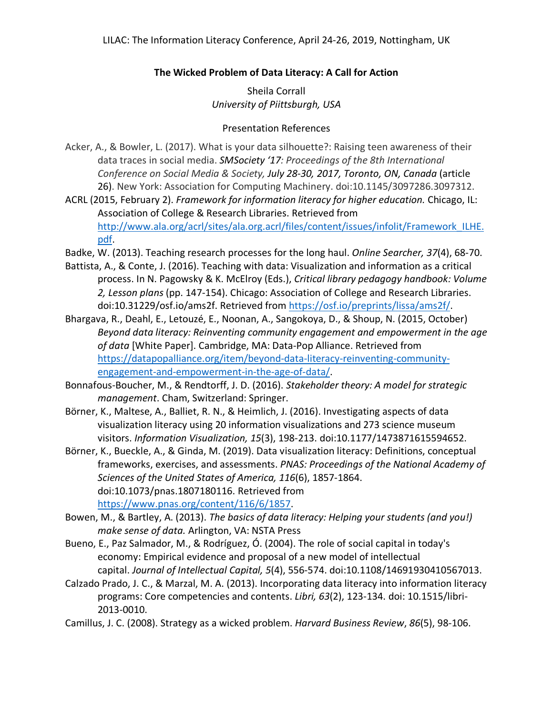## **The Wicked Problem of Data Literacy: A Call for Action**

Sheila Corrall *University of Piittsburgh, USA*

## Presentation References

- Acker, A., & Bowler, L. (2017). What is your data silhouette?: Raising teen awareness of their data traces in social media. *SMSociety '17: Proceedings of the 8th International Conference on Social Media & Society, July 28-30, 2017, Toronto, ON, Canada* (article 26). New York: Association for Computing Machinery. doi:10.1145/3097286.3097312.
- ACRL (2015, February 2). *Framework for information literacy for higher education.* Chicago, IL: Association of College & Research Libraries. Retrieved from http://www.ala.org/acrl/sites/ala.org.acrl/files/content/issues/infolit/Framework\_ILHE. pdf.
- Badke, W. (2013). Teaching research processes for the long haul. *Online Searcher, 37*(4), 68-70.
- Battista, A., & Conte, J. (2016). Teaching with data: Visualization and information as a critical process. In N. Pagowsky & K. McElroy (Eds.), *Critical library pedagogy handbook: Volume 2, Lesson plans* (pp. 147-154). Chicago: Association of College and Research Libraries. doi:10.31229/osf.io/ams2f. Retrieved from https://osf.io/preprints/lissa/ams2f/.
- Bhargava, R., Deahl, E., Letouzé, E., Noonan, A., Sangokoya, D., & Shoup, N. (2015, October) *Beyond data literacy: Reinventing community engagement and empowerment in the age of data* [White Paper]. Cambridge, MA: Data-Pop Alliance. Retrieved from https://datapopalliance.org/item/beyond-data-literacy-reinventing-communityengagement-and-empowerment-in-the-age-of-data/.
- Bonnafous-Boucher, M., & Rendtorff, J. D. (2016). *Stakeholder theory: A model for strategic management*. Cham, Switzerland: Springer.
- Börner, K., Maltese, A., Balliet, R. N., & Heimlich, J. (2016). Investigating aspects of data visualization literacy using 20 information visualizations and 273 science museum visitors. *Information Visualization, 15*(3), 198-213. doi:10.1177/1473871615594652.
- Börner, K., Bueckle, A., & Ginda, M. (2019). Data visualization literacy: Definitions, conceptual frameworks, exercises, and assessments. *PNAS: Proceedings of the National Academy of Sciences of the United States of America, 116*(6), 1857-1864. doi:10.1073/pnas.1807180116. Retrieved from https://www.pnas.org/content/116/6/1857.
- Bowen, M., & Bartley, A. (2013). *The basics of data literacy: Helping your students (and you!) make sense of data.* Arlington, VA: NSTA Press
- Bueno, E., Paz Salmador, M., & Rodríguez, Ó. (2004). The role of social capital in today's economy: Empirical evidence and proposal of a new model of intellectual capital. *Journal of Intellectual Capital, 5*(4), 556-574. doi:10.1108/14691930410567013.
- Calzado Prado, J. C., & Marzal, M. A. (2013). Incorporating data literacy into information literacy programs: Core competencies and contents. *Libri, 63*(2), 123-134. doi: 10.1515/libri-2013-0010.
- Camillus, J. C. (2008). Strategy as a wicked problem. *Harvard Business Review*, *86*(5), 98-106.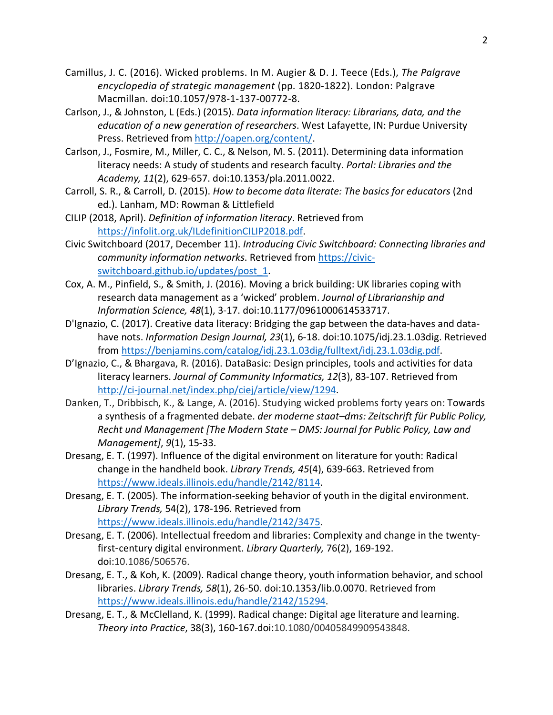- Camillus, J. C. (2016). Wicked problems. In M. Augier & D. J. Teece (Eds.), *The Palgrave encyclopedia of strategic management* (pp. 1820-1822). London: Palgrave Macmillan. doi:10.1057/978-1-137-00772-8.
- Carlson, J., & Johnston, L (Eds.) (2015). *Data information literacy: Librarians, data, and the education of a new generation of researchers*. West Lafayette, IN: Purdue University Press. Retrieved from http://oapen.org/content/.
- Carlson, J., Fosmire, M., Miller, C. C., & Nelson, M. S. (2011). Determining data information literacy needs: A study of students and research faculty. *Portal: Libraries and the Academy, 11*(2), 629-657. doi:10.1353/pla.2011.0022.
- Carroll, S. R., & Carroll, D. (2015). *How to become data literate: The basics for educators* (2nd ed.). Lanham, MD: Rowman & Littlefield
- CILIP (2018, April). *Definition of information literacy*. Retrieved from https://infolit.org.uk/ILdefinitionCILIP2018.pdf.
- Civic Switchboard (2017, December 11). *Introducing Civic Switchboard: Connecting libraries and community information networks*. Retrieved from https://civicswitchboard.github.io/updates/post\_1.
- Cox, A. M., Pinfield, S., & Smith, J. (2016). Moving a brick building: UK libraries coping with research data management as a 'wicked' problem. *Journal of Librarianship and Information Science, 48*(1), 3-17. doi:10.1177/0961000614533717.
- D'Ignazio, C. (2017). Creative data literacy: Bridging the gap between the data-haves and datahave nots. *Information Design Journal, 23*(1), 6-18. doi:10.1075/idj.23.1.03dig. Retrieved from https://benjamins.com/catalog/idj.23.1.03dig/fulltext/idj.23.1.03dig.pdf.
- D'Ignazio, C., & Bhargava, R. (2016). DataBasic: Design principles, tools and activities for data literacy learners. *Journal of Community Informatics, 12*(3), 83-107. Retrieved from http://ci-journal.net/index.php/ciej/article/view/1294.
- Danken, T., Dribbisch, K., & Lange, A. (2016). Studying wicked problems forty years on: Towards a synthesis of a fragmented debate. *der moderne staat–dms: Zeitschrift für Public Policy, Recht und Management [The Modern State – DMS: Journal for Public Policy, Law and Management]*, *9*(1), 15-33.
- Dresang, E. T. (1997). Influence of the digital environment on literature for youth: Radical change in the handheld book. *Library Trends, 45*(4), 639-663. Retrieved from https://www.ideals.illinois.edu/handle/2142/8114.
- Dresang, E. T. (2005). The information-seeking behavior of youth in the digital environment. *Library Trends,* 54(2), 178-196. Retrieved from https://www.ideals.illinois.edu/handle/2142/3475.
- Dresang, E. T. (2006). Intellectual freedom and libraries: Complexity and change in the twentyfirst-century digital environment. *Library Quarterly,* 76(2), 169-192. doi:10.1086/506576.
- Dresang, E. T., & Koh, K. (2009). Radical change theory, youth information behavior, and school libraries. *Library Trends, 58*(1), 26-50. doi:10.1353/lib.0.0070. Retrieved from https://www.ideals.illinois.edu/handle/2142/15294.
- Dresang, E. T., & McClelland, K. (1999). Radical change: Digital age literature and learning. *Theory into Practice*, 38(3), 160-167.doi:10.1080/00405849909543848.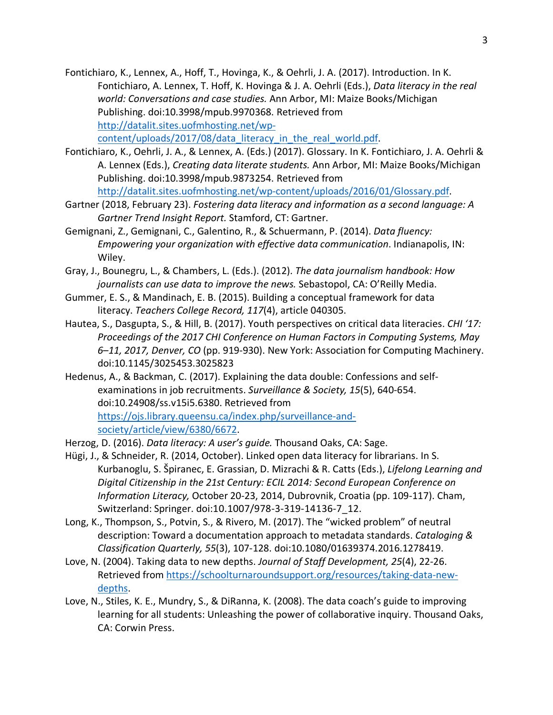Fontichiaro, K., Lennex, A., Hoff, T., Hovinga, K., & Oehrli, J. A. (2017). Introduction. In K. Fontichiaro, A. Lennex, T. Hoff, K. Hovinga & J. A. Oehrli (Eds.), *Data literacy in the real world: Conversations and case studies.* Ann Arbor, MI: Maize Books/Michigan Publishing. doi:10.3998/mpub.9970368. Retrieved from http://datalit.sites.uofmhosting.net/wp-

content/uploads/2017/08/data literacy in the real world.pdf.

Fontichiaro, K., Oehrli, J. A., & Lennex, A. (Eds.) (2017). Glossary. In K. Fontichiaro, J. A. Oehrli & A. Lennex (Eds.), *Creating data literate students.* Ann Arbor, MI: Maize Books/Michigan Publishing. doi:10.3998/mpub.9873254. Retrieved from

http://datalit.sites.uofmhosting.net/wp-content/uploads/2016/01/Glossary.pdf.

- Gartner (2018, February 23). *Fostering data literacy and information as a second language: A Gartner Trend Insight Report.* Stamford, CT: Gartner.
- Gemignani, Z., Gemignani, C., Galentino, R., & Schuermann, P. (2014). *Data fluency: Empowering your organization with effective data communication*. Indianapolis, IN: Wiley.
- Gray, J., Bounegru, L., & Chambers, L. (Eds.). (2012). *The data journalism handbook: How journalists can use data to improve the news.* Sebastopol, CA: O'Reilly Media.
- Gummer, E. S., & Mandinach, E. B. (2015). Building a conceptual framework for data literacy. *Teachers College Record, 117*(4), article 040305.
- Hautea, S., Dasgupta, S., & Hill, B. (2017). Youth perspectives on critical data literacies. *CHI '17: Proceedings of the 2017 CHI Conference on Human Factors in Computing Systems, May 6–11, 2017, Denver, CO* (pp. 919-930). New York: Association for Computing Machinery. doi:10.1145/3025453.3025823
- Hedenus, A., & Backman, C. (2017). Explaining the data double: Confessions and selfexaminations in job recruitments. *Surveillance & Society, 15*(5), 640-654. doi:10.24908/ss.v15i5.6380. Retrieved from https://ojs.library.queensu.ca/index.php/surveillance-andsociety/article/view/6380/6672.
- Herzog, D. (2016). *Data literacy: A user's guide.* Thousand Oaks, CA: Sage.
- Hügi, J., & Schneider, R. (2014, October). Linked open data literacy for librarians. In S. Kurbanoglu, S. Špiranec, E. Grassian, D. Mizrachi & R. Catts (Eds.), *Lifelong Learning and Digital Citizenship in the 21st Century: ECIL 2014: Second European Conference on Information Literacy,* October 20-23, 2014, Dubrovnik, Croatia (pp. 109-117). Cham, Switzerland: Springer. doi:10.1007/978-3-319-14136-7\_12.
- Long, K., Thompson, S., Potvin, S., & Rivero, M. (2017). The "wicked problem" of neutral description: Toward a documentation approach to metadata standards. *Cataloging & Classification Quarterly, 55*(3), 107-128. doi:10.1080/01639374.2016.1278419.
- Love, N. (2004). Taking data to new depths. *Journal of Staff Development, 25*(4), 22-26. Retrieved from https://schoolturnaroundsupport.org/resources/taking-data-newdepths.
- Love, N., Stiles, K. E., Mundry, S., & DiRanna, K. (2008). The data coach's guide to improving learning for all students: Unleashing the power of collaborative inquiry. Thousand Oaks, CA: Corwin Press.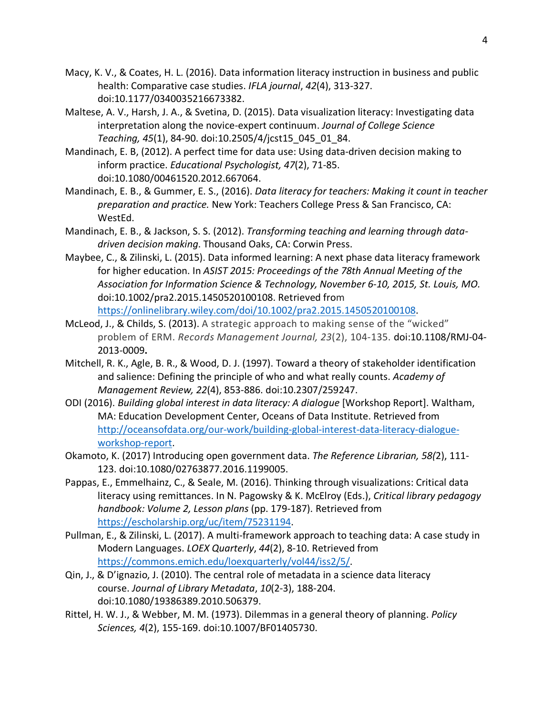- Macy, K. V., & Coates, H. L. (2016). Data information literacy instruction in business and public health: Comparative case studies. *IFLA journal*, *42*(4), 313-327. doi:10.1177/0340035216673382.
- Maltese, A. V., Harsh, J. A., & Svetina, D. (2015). Data visualization literacy: Investigating data interpretation along the novice-expert continuum. *Journal of College Science Teaching, 45*(1), 84-90. doi:10.2505/4/jcst15\_045\_01\_84.
- Mandinach, E. B, (2012). A perfect time for data use: Using data-driven decision making to inform practice. *Educational Psychologist, 47*(2), 71-85. doi:10.1080/00461520.2012.667064.
- Mandinach, E. B., & Gummer, E. S., (2016). *Data literacy for teachers: Making it count in teacher preparation and practice.* New York: Teachers College Press & San Francisco, CA: WestEd.
- Mandinach, E. B., & Jackson, S. S. (2012). *Transforming teaching and learning through datadriven decision making*. Thousand Oaks, CA: Corwin Press.
- Maybee, C., & Zilinski, L. (2015). Data informed learning: A next phase data literacy framework for higher education. In *ASIST 2015: Proceedings of the 78th Annual Meeting of the Association for Information Science & Technology, November 6-10, 2015, St. Louis, MO.* doi:10.1002/pra2.2015.1450520100108. Retrieved from https://onlinelibrary.wiley.com/doi/10.1002/pra2.2015.1450520100108.
- McLeod, J., & Childs, S. (2013). A strategic approach to making sense of the "wicked" problem of ERM. *Records Management Journal, 23*(2), 104-135. doi:10.1108/RMJ-04- 2013-0009**.**
- Mitchell, R. K., Agle, B. R., & Wood, D. J. (1997). Toward a theory of stakeholder identification and salience: Defining the principle of who and what really counts. *Academy of Management Review, 22*(4), 853-886. doi:10.2307/259247.
- ODI (2016). *Building global interest in data literacy: A dialogue* [Workshop Report]. Waltham, MA: Education Development Center, Oceans of Data Institute. Retrieved from http://oceansofdata.org/our-work/building-global-interest-data-literacy-dialogueworkshop-report.
- Okamoto, K. (2017) Introducing open government data. *The Reference Librarian, 58(*2), 111- 123. doi:10.1080/02763877.2016.1199005.
- Pappas, E., Emmelhainz, C., & Seale, M. (2016). Thinking through visualizations: Critical data literacy using remittances. In N. Pagowsky & K. McElroy (Eds.), *Critical library pedagogy handbook: Volume 2, Lesson plans* (pp. 179-187). Retrieved from https://escholarship.org/uc/item/75231194.
- Pullman, E., & Zilinski, L. (2017). A multi-framework approach to teaching data: A case study in Modern Languages. *LOEX Quarterly*, *44*(2), 8-10. Retrieved from https://commons.emich.edu/loexquarterly/vol44/iss2/5/.
- Qin, J., & D'ignazio, J. (2010). The central role of metadata in a science data literacy course. *Journal of Library Metadata*, *10*(2-3), 188-204. doi:10.1080/19386389.2010.506379.
- Rittel, H. W. J., & Webber, M. M. (1973). Dilemmas in a general theory of planning. *Policy Sciences, 4*(2), 155-169. doi:10.1007/BF01405730.